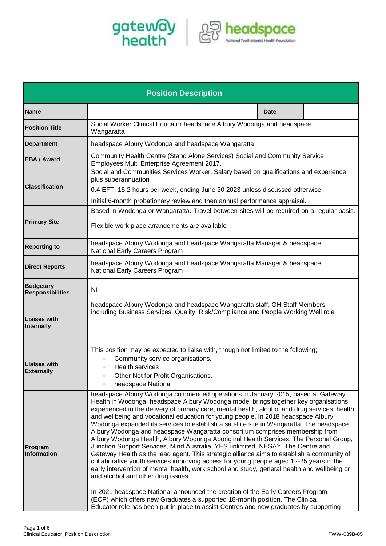



| <b>Position Description</b>                 |                                                                                                                                                                                                                                                                                                                                                                                                                                                                                                                                                                                                                                                                                                                                                                                                                                                                                                                                                                                                                                                                                                                                                                                                                                                                                                              |  |  |
|---------------------------------------------|--------------------------------------------------------------------------------------------------------------------------------------------------------------------------------------------------------------------------------------------------------------------------------------------------------------------------------------------------------------------------------------------------------------------------------------------------------------------------------------------------------------------------------------------------------------------------------------------------------------------------------------------------------------------------------------------------------------------------------------------------------------------------------------------------------------------------------------------------------------------------------------------------------------------------------------------------------------------------------------------------------------------------------------------------------------------------------------------------------------------------------------------------------------------------------------------------------------------------------------------------------------------------------------------------------------|--|--|
| <b>Name</b>                                 | <b>Date</b>                                                                                                                                                                                                                                                                                                                                                                                                                                                                                                                                                                                                                                                                                                                                                                                                                                                                                                                                                                                                                                                                                                                                                                                                                                                                                                  |  |  |
| <b>Position Title</b>                       | Social Worker Clinical Educator headspace Albury Wodonga and headspace<br>Wangaratta                                                                                                                                                                                                                                                                                                                                                                                                                                                                                                                                                                                                                                                                                                                                                                                                                                                                                                                                                                                                                                                                                                                                                                                                                         |  |  |
| <b>Department</b>                           | headspace Albury Wodonga and headspace Wangaratta                                                                                                                                                                                                                                                                                                                                                                                                                                                                                                                                                                                                                                                                                                                                                                                                                                                                                                                                                                                                                                                                                                                                                                                                                                                            |  |  |
| <b>EBA / Award</b>                          | Community Health Centre (Stand Alone Services) Social and Community Service<br>Employees Multi Enterprise Agreement 2017.                                                                                                                                                                                                                                                                                                                                                                                                                                                                                                                                                                                                                                                                                                                                                                                                                                                                                                                                                                                                                                                                                                                                                                                    |  |  |
| <b>Classification</b>                       | Social and Communities Services Worker, Salary based on qualifications and experience<br>plus superannuation                                                                                                                                                                                                                                                                                                                                                                                                                                                                                                                                                                                                                                                                                                                                                                                                                                                                                                                                                                                                                                                                                                                                                                                                 |  |  |
|                                             | 0.4 EFT, 15.2 hours per week, ending June 30 2023 unless discussed otherwise<br>Initial 6-month probationary review and then annual performance appraisal.                                                                                                                                                                                                                                                                                                                                                                                                                                                                                                                                                                                                                                                                                                                                                                                                                                                                                                                                                                                                                                                                                                                                                   |  |  |
| <b>Primary Site</b>                         | Based in Wodonga or Wangaratta. Travel between sites will be required on a regular basis.                                                                                                                                                                                                                                                                                                                                                                                                                                                                                                                                                                                                                                                                                                                                                                                                                                                                                                                                                                                                                                                                                                                                                                                                                    |  |  |
|                                             | Flexible work place arrangements are available                                                                                                                                                                                                                                                                                                                                                                                                                                                                                                                                                                                                                                                                                                                                                                                                                                                                                                                                                                                                                                                                                                                                                                                                                                                               |  |  |
| <b>Reporting to</b>                         | headspace Albury Wodonga and headspace Wangaratta Manager & headspace<br>National Early Careers Program                                                                                                                                                                                                                                                                                                                                                                                                                                                                                                                                                                                                                                                                                                                                                                                                                                                                                                                                                                                                                                                                                                                                                                                                      |  |  |
| <b>Direct Reports</b>                       | headspace Albury Wodonga and headspace Wangaratta Manager & headspace<br>National Early Careers Program                                                                                                                                                                                                                                                                                                                                                                                                                                                                                                                                                                                                                                                                                                                                                                                                                                                                                                                                                                                                                                                                                                                                                                                                      |  |  |
| <b>Budgetary</b><br><b>Responsibilities</b> | Nil                                                                                                                                                                                                                                                                                                                                                                                                                                                                                                                                                                                                                                                                                                                                                                                                                                                                                                                                                                                                                                                                                                                                                                                                                                                                                                          |  |  |
| <b>Liaises with</b><br>Internally           | headspace Albury Wodonga and headspace Wangaratta staff, GH Staff Members,<br>including Business Services, Quality, Risk/Compliance and People Working Well role                                                                                                                                                                                                                                                                                                                                                                                                                                                                                                                                                                                                                                                                                                                                                                                                                                                                                                                                                                                                                                                                                                                                             |  |  |
| <b>Liaises with</b><br><b>Externally</b>    | This position may be expected to liaise with, though not limited to the following;<br>Community service organisations.<br>Health services<br>$\bullet$<br>Other Not for Profit Organisations.<br>headspace National<br>$\bullet$                                                                                                                                                                                                                                                                                                                                                                                                                                                                                                                                                                                                                                                                                                                                                                                                                                                                                                                                                                                                                                                                             |  |  |
| Program<br><b>Information</b>               | headspace Albury Wodonga commenced operations in January 2015, based at Gateway<br>Health in Wodonga. headspace Albury Wodonga model brings together key organisations<br>experienced in the delivery of primary care, mental health, alcohol and drug services, health<br>and wellbeing and vocational education for young people. In 2018 headspace Albury<br>Wodonga expanded its services to establish a satellite site in Wangaratta. The headspace<br>Albury Wodonga and headspace Wangaratta consortium comprises membership from<br>Albury Wodonga Health, Albury Wodonga Aboriginal Health Services, The Personal Group,<br>Junction Support Services, Mind Australia, YES unlimited, NESAY, The Centre and<br>Gateway Health as the lead agent. This strategic alliance aims to establish a community of<br>collaborative youth services improving access for young people aged 12-25 years in the<br>early intervention of mental health, work school and study, general health and wellbeing or<br>and alcohol and other drug issues.<br>In 2021 headspace National announced the creation of the Early Careers Program<br>(ECP) which offers new Graduates a supported 18-month position. The Clinical<br>Educator role has been put in place to assist Centres and new graduates by supporting |  |  |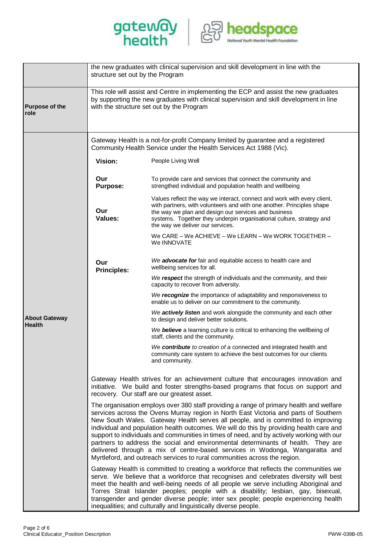



|                                       | structure set out by the Program                                                                                                                                                                                              | the new graduates with clinical supervision and skill development in line with the                                                                                                                                                                                                                                                                                                                                                                                                                                                                                                                                                                                                                           |  |  |
|---------------------------------------|-------------------------------------------------------------------------------------------------------------------------------------------------------------------------------------------------------------------------------|--------------------------------------------------------------------------------------------------------------------------------------------------------------------------------------------------------------------------------------------------------------------------------------------------------------------------------------------------------------------------------------------------------------------------------------------------------------------------------------------------------------------------------------------------------------------------------------------------------------------------------------------------------------------------------------------------------------|--|--|
| Purpose of the<br>role                | This role will assist and Centre in implementing the ECP and assist the new graduates<br>by supporting the new graduates with clinical supervision and skill development in line<br>with the structure set out by the Program |                                                                                                                                                                                                                                                                                                                                                                                                                                                                                                                                                                                                                                                                                                              |  |  |
|                                       | Gateway Health is a not-for-profit Company limited by guarantee and a registered<br>Community Health Service under the Health Services Act 1988 (Vic).                                                                        |                                                                                                                                                                                                                                                                                                                                                                                                                                                                                                                                                                                                                                                                                                              |  |  |
|                                       | Vision:                                                                                                                                                                                                                       | People Living Well                                                                                                                                                                                                                                                                                                                                                                                                                                                                                                                                                                                                                                                                                           |  |  |
|                                       | Our<br><b>Purpose:</b>                                                                                                                                                                                                        | To provide care and services that connect the community and<br>strengthed individual and population health and wellbeing                                                                                                                                                                                                                                                                                                                                                                                                                                                                                                                                                                                     |  |  |
| <b>About Gateway</b><br><b>Health</b> | Our<br>Values:                                                                                                                                                                                                                | Values reflect the way we interact, connect and work with every client,<br>with partners, with volunteers and with one another. Principles shape<br>the way we plan and design our services and business<br>systems. Together they underpin organisational culture, strategy and<br>the way we deliver our services.                                                                                                                                                                                                                                                                                                                                                                                         |  |  |
|                                       |                                                                                                                                                                                                                               | We CARE - We ACHIEVE - We LEARN - We WORK TOGETHER -<br>We INNOVATE                                                                                                                                                                                                                                                                                                                                                                                                                                                                                                                                                                                                                                          |  |  |
|                                       | Our<br><b>Principles:</b>                                                                                                                                                                                                     | We advocate for fair and equitable access to health care and<br>wellbeing services for all.                                                                                                                                                                                                                                                                                                                                                                                                                                                                                                                                                                                                                  |  |  |
|                                       |                                                                                                                                                                                                                               | We respect the strength of individuals and the community, and their<br>capacity to recover from adversity.                                                                                                                                                                                                                                                                                                                                                                                                                                                                                                                                                                                                   |  |  |
|                                       |                                                                                                                                                                                                                               | We recognize the importance of adaptability and responsiveness to<br>enable us to deliver on our commitment to the community.                                                                                                                                                                                                                                                                                                                                                                                                                                                                                                                                                                                |  |  |
|                                       |                                                                                                                                                                                                                               | We actively listen and work alongside the community and each other<br>to design and deliver better solutions.                                                                                                                                                                                                                                                                                                                                                                                                                                                                                                                                                                                                |  |  |
|                                       |                                                                                                                                                                                                                               | We believe a learning culture is critical to enhancing the wellbeing of<br>staff, clients and the community.                                                                                                                                                                                                                                                                                                                                                                                                                                                                                                                                                                                                 |  |  |
|                                       |                                                                                                                                                                                                                               | We contribute to creation of a connected and integrated health and<br>community care system to achieve the best outcomes for our clients<br>and community.                                                                                                                                                                                                                                                                                                                                                                                                                                                                                                                                                   |  |  |
|                                       |                                                                                                                                                                                                                               | Gateway Health strives for an achievement culture that encourages innovation and<br>initiative. We build and foster strengths-based programs that focus on support and<br>recovery. Our staff are our greatest asset.                                                                                                                                                                                                                                                                                                                                                                                                                                                                                        |  |  |
|                                       |                                                                                                                                                                                                                               | The organisation employs over 380 staff providing a range of primary health and welfare<br>services across the Ovens Murray region in North East Victoria and parts of Southern<br>New South Wales. Gateway Health serves all people, and is committed to improving<br>individual and population health outcomes. We will do this by providing health care and<br>support to individuals and communities in times of need, and by actively working with our<br>partners to address the social and environmental determinants of health. They are<br>delivered through a mix of centre-based services in Wodonga, Wangaratta and<br>Myrtleford, and outreach services to rural communities across the region. |  |  |
|                                       |                                                                                                                                                                                                                               | Gateway Health is committed to creating a workforce that reflects the communities we<br>serve. We believe that a workforce that recognises and celebrates diversity will best<br>meet the health and well-being needs of all people we serve including Aboriginal and<br>Torres Strait Islander peoples; people with a disability; lesbian, gay, bisexual,<br>transgender and gender diverse people; inter sex people; people experiencing health<br>inequalities; and culturally and linguistically diverse people.                                                                                                                                                                                         |  |  |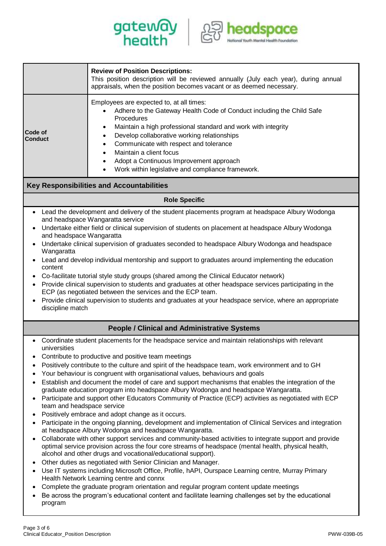



| <b>Review of Position Descriptions:</b><br>This position description will be reviewed annually (July each year), during annual<br>appraisals, when the position becomes vacant or as deemed necessary.<br>Employees are expected to, at all times:<br>Adhere to the Gateway Health Code of Conduct including the Child Safe<br>Procedures<br>Maintain a high professional standard and work with integrity<br>٠<br>Code of<br>Develop collaborative working relationships<br>$\bullet$<br><b>Conduct</b><br>Communicate with respect and tolerance<br>$\bullet$<br>Maintain a client focus<br>Adopt a Continuous Improvement approach<br>Work within legislative and compliance framework.<br><b>Key Responsibilities and Accountabilities</b><br><b>Role Specific</b><br>Lead the development and delivery of the student placements program at headspace Albury Wodonga<br>and headspace Wangaratta service<br>Undertake either field or clinical supervision of students on placement at headspace Albury Wodonga<br>$\bullet$<br>and headspace Wangaratta<br>Undertake clinical supervision of graduates seconded to headspace Albury Wodonga and headspace<br>Wangaratta<br>Lead and develop individual mentorship and support to graduates around implementing the education<br>$\bullet$<br>content<br>Co-facilitate tutorial style study groups (shared among the Clinical Educator network)<br>$\bullet$<br>Provide clinical supervision to students and graduates at other headspace services participating in the<br>$\bullet$<br>ECP (as negotiated between the services and the ECP team.<br>Provide clinical supervision to students and graduates at your headspace service, where an appropriate<br>$\bullet$<br>discipline match<br><b>People / Clinical and Administrative Systems</b><br>Coordinate student placements for the headspace service and maintain relationships with relevant<br>universities<br>Contribute to productive and positive team meetings<br>٠<br>Positively contribute to the culture and spirit of the headspace team, work environment and to GH<br>$\bullet$<br>Your behaviour is congruent with organisational values, behaviours and goals<br>Establish and document the model of care and support mechanisms that enables the integration of the<br>graduate education program into headspace Albury Wodonga and headspace Wangaratta.<br>Participate and support other Educators Community of Practice (ECP) activities as negotiated with ECP<br>$\bullet$<br>team and headspace service<br>Positively embrace and adopt change as it occurs.<br>$\bullet$<br>Participate in the ongoing planning, development and implementation of Clinical Services and integration<br>at headspace Albury Wodonga and headspace Wangaratta.<br>Collaborate with other support services and community-based activities to integrate support and provide<br>$\bullet$<br>optimal service provision across the four core streams of headspace (mental health, physical health,<br>alcohol and other drugs and vocational/educational support).<br>Other duties as negotiated with Senior Clinician and Manager.<br>$\bullet$<br>Use IT systems including Microsoft Office, Profile, hAPI, Ourspace Learning centre, Murray Primary<br>$\bullet$<br>Health Network Learning centre and connx |  |  |  |  |  |
|---------------------------------------------------------------------------------------------------------------------------------------------------------------------------------------------------------------------------------------------------------------------------------------------------------------------------------------------------------------------------------------------------------------------------------------------------------------------------------------------------------------------------------------------------------------------------------------------------------------------------------------------------------------------------------------------------------------------------------------------------------------------------------------------------------------------------------------------------------------------------------------------------------------------------------------------------------------------------------------------------------------------------------------------------------------------------------------------------------------------------------------------------------------------------------------------------------------------------------------------------------------------------------------------------------------------------------------------------------------------------------------------------------------------------------------------------------------------------------------------------------------------------------------------------------------------------------------------------------------------------------------------------------------------------------------------------------------------------------------------------------------------------------------------------------------------------------------------------------------------------------------------------------------------------------------------------------------------------------------------------------------------------------------------------------------------------------------------------------------------------------------------------------------------------------------------------------------------------------------------------------------------------------------------------------------------------------------------------------------------------------------------------------------------------------------------------------------------------------------------------------------------------------------------------------------------------------------------------------------------------------------------------------------------------------------------------------------------------------------------------------------------------------------------------------------------------------------------------------------------------------------------------------------------------------------------------------------------------------------------------------------------------------------------------------------------------------------------------------------------------------------------------------------------------------------------------------------------------------------------------------------------------------------------------------------------------------|--|--|--|--|--|
|                                                                                                                                                                                                                                                                                                                                                                                                                                                                                                                                                                                                                                                                                                                                                                                                                                                                                                                                                                                                                                                                                                                                                                                                                                                                                                                                                                                                                                                                                                                                                                                                                                                                                                                                                                                                                                                                                                                                                                                                                                                                                                                                                                                                                                                                                                                                                                                                                                                                                                                                                                                                                                                                                                                                                                                                                                                                                                                                                                                                                                                                                                                                                                                                                                                                                                                                 |  |  |  |  |  |
|                                                                                                                                                                                                                                                                                                                                                                                                                                                                                                                                                                                                                                                                                                                                                                                                                                                                                                                                                                                                                                                                                                                                                                                                                                                                                                                                                                                                                                                                                                                                                                                                                                                                                                                                                                                                                                                                                                                                                                                                                                                                                                                                                                                                                                                                                                                                                                                                                                                                                                                                                                                                                                                                                                                                                                                                                                                                                                                                                                                                                                                                                                                                                                                                                                                                                                                                 |  |  |  |  |  |
|                                                                                                                                                                                                                                                                                                                                                                                                                                                                                                                                                                                                                                                                                                                                                                                                                                                                                                                                                                                                                                                                                                                                                                                                                                                                                                                                                                                                                                                                                                                                                                                                                                                                                                                                                                                                                                                                                                                                                                                                                                                                                                                                                                                                                                                                                                                                                                                                                                                                                                                                                                                                                                                                                                                                                                                                                                                                                                                                                                                                                                                                                                                                                                                                                                                                                                                                 |  |  |  |  |  |
|                                                                                                                                                                                                                                                                                                                                                                                                                                                                                                                                                                                                                                                                                                                                                                                                                                                                                                                                                                                                                                                                                                                                                                                                                                                                                                                                                                                                                                                                                                                                                                                                                                                                                                                                                                                                                                                                                                                                                                                                                                                                                                                                                                                                                                                                                                                                                                                                                                                                                                                                                                                                                                                                                                                                                                                                                                                                                                                                                                                                                                                                                                                                                                                                                                                                                                                                 |  |  |  |  |  |
|                                                                                                                                                                                                                                                                                                                                                                                                                                                                                                                                                                                                                                                                                                                                                                                                                                                                                                                                                                                                                                                                                                                                                                                                                                                                                                                                                                                                                                                                                                                                                                                                                                                                                                                                                                                                                                                                                                                                                                                                                                                                                                                                                                                                                                                                                                                                                                                                                                                                                                                                                                                                                                                                                                                                                                                                                                                                                                                                                                                                                                                                                                                                                                                                                                                                                                                                 |  |  |  |  |  |
|                                                                                                                                                                                                                                                                                                                                                                                                                                                                                                                                                                                                                                                                                                                                                                                                                                                                                                                                                                                                                                                                                                                                                                                                                                                                                                                                                                                                                                                                                                                                                                                                                                                                                                                                                                                                                                                                                                                                                                                                                                                                                                                                                                                                                                                                                                                                                                                                                                                                                                                                                                                                                                                                                                                                                                                                                                                                                                                                                                                                                                                                                                                                                                                                                                                                                                                                 |  |  |  |  |  |
| Complete the graduate program orientation and regular program content update meetings<br>Be across the program's educational content and facilitate learning challenges set by the educational                                                                                                                                                                                                                                                                                                                                                                                                                                                                                                                                                                                                                                                                                                                                                                                                                                                                                                                                                                                                                                                                                                                                                                                                                                                                                                                                                                                                                                                                                                                                                                                                                                                                                                                                                                                                                                                                                                                                                                                                                                                                                                                                                                                                                                                                                                                                                                                                                                                                                                                                                                                                                                                                                                                                                                                                                                                                                                                                                                                                                                                                                                                                  |  |  |  |  |  |

program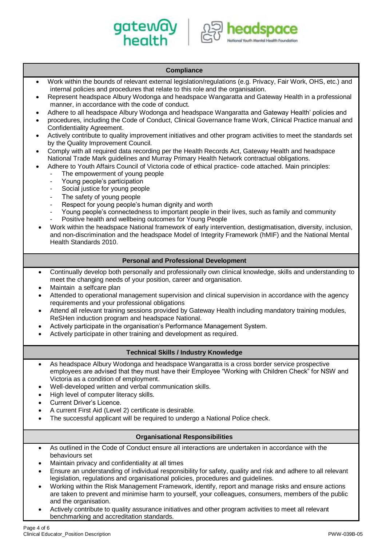



# **Compliance** • Work within the bounds of relevant external legislation/regulations (e.g. Privacy, Fair Work, OHS, etc.) and internal policies and procedures that relate to this role and the organisation. • Represent headspace Albury Wodonga and headspace Wangaratta and Gateway Health in a professional manner, in accordance with the code of conduct. • Adhere to all headspace Albury Wodonga and headspace Wangaratta and Gateway Health' policies and • procedures, including the Code of Conduct, Clinical Governance frame Work, Clinical Practice manual and Confidentiality Agreement. • Actively contribute to quality improvement initiatives and other program activities to meet the standards set by the Quality Improvement Council. • Comply with all required data recording per the Health Records Act, Gateway Health and headspace National Trade Mark guidelines and Murray Primary Health Network contractual obligations. • Adhere to Youth Affairs Council of Victoria code of ethical practice- code attached. Main principles: The empowerment of young people Young people's participation Social justice for young people The safety of young people Respect for young people's human dignity and worth Young people's connectedness to important people in their lives, such as family and community Positive health and wellbeing outcomes for Young People • Work within the headspace National framework of early intervention, destigmatisation, diversity, inclusion, and non-discrimination and the headspace Model of Integrity Framework (hMIF) and the National Mental Health Standards 2010. **Personal and Professional Development** • Continually develop both personally and professionally own clinical knowledge, skills and understanding to meet the changing needs of your position, career and organisation. • Maintain a selfcare plan • Attended to operational management supervision and clinical supervision in accordance with the agency requirements and your professional obligations • Attend all relevant training sessions provided by Gateway Health including mandatory training modules, ReSHen induction program and headspace National. • Actively participate in the organisation's Performance Management System. • Actively participate in other training and development as required. **Technical Skills / Industry Knowledge** As headspace Albury Wodonga and headspace Wangaratta is a cross border service prospective employees are advised that they must have their Employee "Working with Children Check" for NSW and Victoria as a condition of employment. • Well-developed written and verbal communication skills. • High level of computer literacy skills. Current Driver's Licence. • A current First Aid (Level 2) certificate is desirable. The successful applicant will be required to undergo a National Police check. **Organisational Responsibilities** • As outlined in the Code of Conduct ensure all interactions are undertaken in accordance with the behaviours set

- Maintain privacy and confidentiality at all times
- Ensure an understanding of individual responsibility for safety, quality and risk and adhere to all relevant legislation, regulations and organisational policies, procedures and guidelines.
- Working within the Risk Management Framework, identify, report and manage risks and ensure actions are taken to prevent and minimise harm to yourself, your colleagues, consumers, members of the public and the organisation.
- Actively contribute to quality assurance initiatives and other program activities to meet all relevant benchmarking and accreditation standards.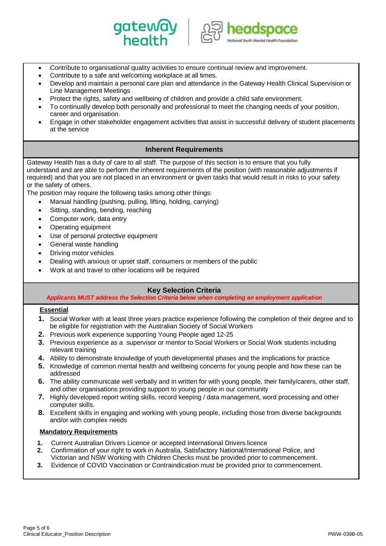



- Contribute to organisational quality activities to ensure continual review and improvement.
- Contribute to a safe and welcoming workplace at all times.
- Develop and maintain a personal care plan and attendance in the Gateway Health Clinical Supervision or Line Management Meetings
- Protect the rights, safety and wellbeing of children and provide a child safe environment.
- To continually develop both personally and professional to meet the changing needs of your position, career and organisation.
- Engage in other stakeholder engagement activities that assist in successful delivery of student placements at the service

## **Inherent Requirements**

Gateway Health has a duty of care to all staff. The purpose of this section is to ensure that you fully understand and are able to perform the inherent requirements of the position (with reasonable adjustments if required) and that you are not placed in an environment or given tasks that would result in risks to your safety or the safety of others.

The position may require the following tasks among other things:

- Manual handling (pushing, pulling, lifting, holding, carrying)
- Sitting, standing, bending, reaching
- Computer work, data entry
- Operating equipment
- Use of personal protective equipment
- General waste handling
- Driving motor vehicles
- Dealing with anxious or upset staff, consumers or members of the public
- Work at and travel to other locations will be required

# **Key Selection Criteria**

*Applicants MUST address the Selection Criteria below when completing an employment application*

## **Essential**

- **1.** Social Worker with at least three years practice experience following the completion of their degree and to be eligible for registration with the Australian Society of Social Workers
- **2.** Previous work experience supporting Young People aged 12-25
- **3.** Previous experience as a supervisor or mentor to Social Workers or Social Work students including relevant training
- **4.** Ability to demonstrate knowledge of youth developmental phases and the implications for practice
- **5.** Knowledge of common mental health and wellbeing concerns for young people and how these can be addressed
- **6.** The ability communicate well verbally and in written for with young people, their family/carers, other staff, and other organisations providing support to young people in our community
- **7.** Highly developed report writing skills, record keeping / data management, word processing and other computer skills.
- **8.** Excellent skills in engaging and working with young people, including those from diverse backgrounds and/or with complex needs

## **Mandatory Requirements**

- **1.** Current Australian Drivers Licence or accepted International Drivers licence
- **2.** Confirmation of your right to work in Australia, Satisfactory National/International Police, and Victorian and NSW Working with Children Checks must be provided prior to commencement.
- **3.** Evidence of COVID Vaccination or Contraindication must be provided prior to commencement.